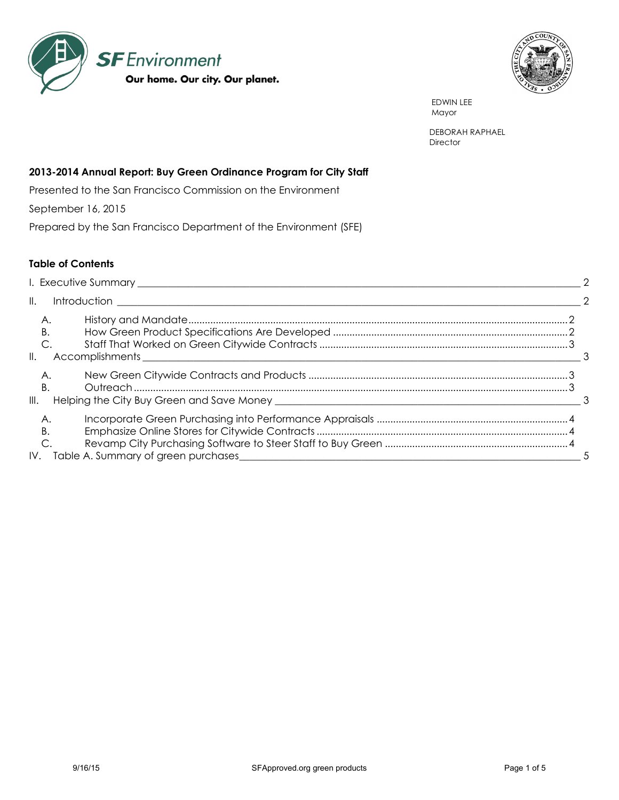



 EDWIN LEE Mayor Mayor (1999), the Mayor (1999), the Mayor (1999), the Mayor (1999), the Mayor (1999), the Mayor (1999), the Mayor (1999), the Mayor (1999), the Mayor (1999), the Mayor (1999), the Mayor (1999), the Mayor (1999), the

> DEBORAH RAPHAEL **Director**

## **2013-2014 Annual Report: Buy Green Ordinance Program for City Staff**

Presented to the San Francisco Commission on the Environment

September 16, 2015

Prepared by the San Francisco Department of the Environment (SFE)

## **Table of Contents**

| $\parallel$ .             | $\mathcal{L}$ |  |  |  |  |  |
|---------------------------|---------------|--|--|--|--|--|
| A.<br>В.<br>$\parallel$ . |               |  |  |  |  |  |
| Α.<br>B<br>III.           |               |  |  |  |  |  |
| А.<br>В.<br>IV.           |               |  |  |  |  |  |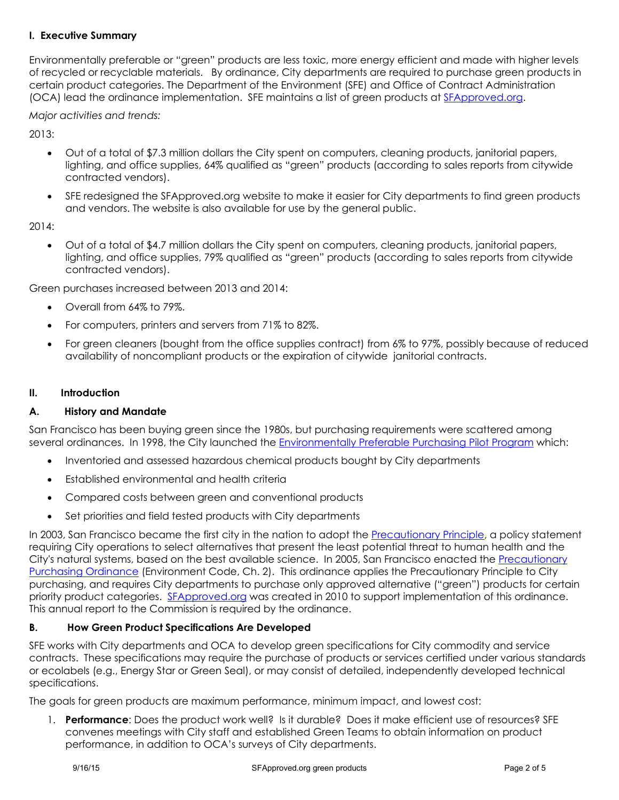## <span id="page-1-0"></span>**I. Executive Summary**

Environmentally preferable or "green" products are less toxic, more energy efficient and made with higher levels of recycled or recyclable materials. By ordinance, City departments are required to purchase green products in certain product categories. The Department of the Environment (SFE) and Office of Contract Administration (OCA) lead the ordinance implementation. SFE maintains a list of green products at [SFApproved.org.](file://///10.23.10.246/data/Environment/6.%20REPORTS%20TO%20COE/11/narrative/SFApproved.org)

*Major activities and trends:* 

2013:

- Out of a total of \$7.3 million dollars the City spent on computers, cleaning products, janitorial papers, lighting, and office supplies, 64% qualified as "green" products (according to sales reports from citywide contracted vendors).
- SFE redesigned the SFApproved.org website to make it easier for City departments to find green products and vendors. The website is also available for use by the general public.

2014:

 Out of a total of \$4.7 million dollars the City spent on computers, cleaning products, janitorial papers, lighting, and office supplies, 79% qualified as "green" products (according to sales reports from citywide contracted vendors).

Green purchases increased between 2013 and 2014:

- Overall from 64% to 79%.
- For computers, printers and servers from 71% to 82%.
- For green cleaners (bought from the office supplies contract) from 6% to 97%, possibly because of reduced availability of noncompliant products or the expiration of citywide janitorial contracts.

### <span id="page-1-1"></span>**II. Introduction**

### <span id="page-1-2"></span>**A. History and Mandate**

San Francisco has been buying green since the 1980s, but purchasing requirements were scattered among several ordinances. In 1998, the City launched the [Environmentally Preferable Purchasing Pilot Program](http://www.sfenvironment.org/downloads/library/sf_green_purchasing_priorities_summary_0912_92209.pdf) which:

- Inventoried and assessed hazardous chemical products bought by City departments
- Established environmental and health criteria
- Compared costs between green and conventional products
- Set priorities and field tested products with City departments

In 2003, San Francisco became the first city in the nation to adopt the [Precautionary Principle,](http://www.amlegal.com/nxt/gateway.dll/California/environment/chapter1precautionaryprinciplepolicystat?f=templates$fn=default.htm$3.0$vid=amlegal:sanfrancisco_ca) a policy statement requiring City operations to select alternatives that present the least potential threat to human health and the City's natural systems, based on the best available science. In 2005, San Francisco enacted the [Precautionary](http://www.municode.com/Resources/gateway.asp?pid=14134&sid=5)  [Purchasing Ordinance](http://www.municode.com/Resources/gateway.asp?pid=14134&sid=5) (Environment Code, Ch. 2). This ordinance applies the Precautionary Principle to City purchasing, and requires City departments to purchase only approved alternative ("green") products for certain priority product categories. [SFApproved.org](http://www.sfapproved.org/) was created in 2010 to support implementation of this ordinance. This annual report to the Commission is required by the ordinance.

# <span id="page-1-3"></span>**B. How Green Product Specifications Are Developed**

SFE works with City departments and OCA to develop green specifications for City commodity and service contracts. These specifications may require the purchase of products or services certified under various standards or ecolabels (e.g., Energy Star or Green Seal), or may consist of detailed, independently developed technical specifications.

The goals for green products are maximum performance, minimum impact, and lowest cost:

1. **Performance**: Does the product work well? Is it durable? Does it make efficient use of resources? SFE convenes meetings with City staff and established Green Teams to obtain information on product performance, in addition to OCA's surveys of City departments.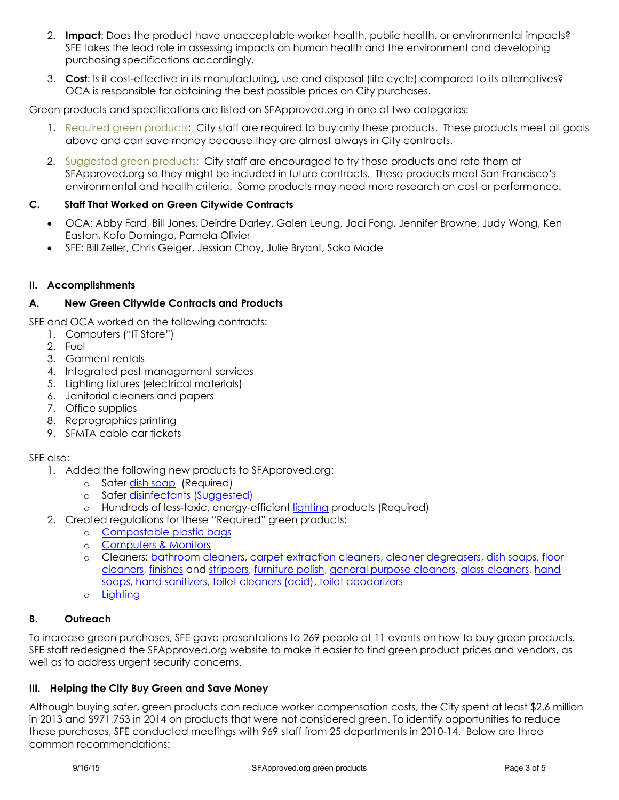- 2. **Impact**: Does the product have unacceptable worker health, public health, or environmental impacts? SFE takes the lead role in assessing impacts on human health and the environment and developing purchasing specifications accordingly.
- 3. **Cost**: Is it cost-effective in its manufacturing, use and disposal (life cycle) compared to its alternatives? OCA is responsible for obtaining the best possible prices on City purchases.

Green products and specifications are listed on SFApproved.org in one of two categories:

- 1. Required green products: City staff are required to buy only these products. These products meet all goals above and can save money because they are almost always in City contracts.
- 2. Suggested green products: City staff are encouraged to try these products and rate them at SFApproved.org so they might be included in future contracts. These products meet San Francisco's environmental and health criteria. Some products may need more research on cost or performance.

## <span id="page-2-0"></span>**C. Staff That Worked on Green Citywide Contracts**

- OCA: Abby Fard, Bill Jones, Deirdre Darley, Galen Leung, Jaci Fong, Jennifer Browne, Judy Wong, Ken Easton, Kofo Domingo, Pamela Olivier
- SFE: Bill Zeller, Chris Geiger, Jessian Choy, Julie Bryant, Soko Made

### <span id="page-2-1"></span>**II. Accomplishments**

## <span id="page-2-2"></span>**A. New Green Citywide Contracts and Products**

SFE and OCA worked on the following contracts:

- 1. Computers ("IT Store")
- 2. Fuel
- 3. Garment rentals
- 4. Integrated pest management services
- 5. Lighting fixtures (electrical materials)
- 6. Janitorial cleaners and papers
- 7. Office supplies
- 8. Reprographics printing
- 9. SFMTA cable car tickets

### SFE also:

- 1. Added the following new products to SFApproved.org:
	- o Safer [dish soap](http://www.sfapproved.org/dish-soaps) (Required)
	- o Safer [disinfectants](http://www.sfapproved.org/disinfectants) (Suggested)
	- o Hundreds of less-toxic, energy-efficient [lighting](http://www.sfapproved.org/new-city-lighting-list-might-brighten-your-day) products (Required)
- 2. Created regulations for these "Required" green products:
	- o [Compostable plastic bags](http://www.sfapproved.org/bags-compostable-plastic)
	- o [Computers & Monitors](http://www.sfapproved.org/computers-monitors)
	- o Cleaners: [bathroom cleaners,](http://www.sfapproved.org/bathroom-cleaners) [carpet extraction cleaners,](http://www.sfapproved.org/carpet-cleaners%5C) [cleaner degreasers,](http://www.sfapproved.org/cleaner-degreasers) [dish soaps,](http://sfapproved.org/dish-soaps) [floor](http://www.sfapproved.org/floor-cleaners)  [cleaners,](http://www.sfapproved.org/floor-cleaners) [finishes](http://www.sfapproved.org/floor-finishes) and [strippers,](http://www.sfapproved.org/floor-strippers) [furniture polish,](http://sfapproved.org/furniture-polish) [general purpose cleaners,](http://www.sfapproved.org/general-purpose-cleaners) [glass cleaners,](http://www.sfapproved.org/glass-cleaners) [hand](http://www.sfapproved.org/hand-soaps)  [soaps,](http://www.sfapproved.org/hand-soaps) [hand sanitizers,](http://sfapproved.org/sanitizers) [toilet cleaners \(acid\),](http://www.sfapproved.org/toilet-cleaners-acid) [toilet deodorizers](http://www.sfapproved.org/bathroom-toilet-deodorizers-hangers-pucks)
	- o [Lighting](http://www.sfapproved.org/new-city-lighting-list-might-brighten-your-day)

### <span id="page-2-3"></span>**B. Outreach**

To increase green purchases, SFE gave presentations to 269 people at 11 events on how to buy green products. SFE staff redesigned the SFApproved.org website to make it easier to find green product prices and vendors, as well as to address urgent security concerns.

### <span id="page-2-4"></span>**III. Helping the City Buy Green and Save Money**

Although buying safer, green products can reduce worker compensation costs, the City spent at least \$2.6 million in 2013 and \$971,753 in 2014 on products that were not considered green. To identify opportunities to reduce these purchases, SFE conducted meetings with 969 staff from 25 departments in 2010-14. Below are three common recommendations: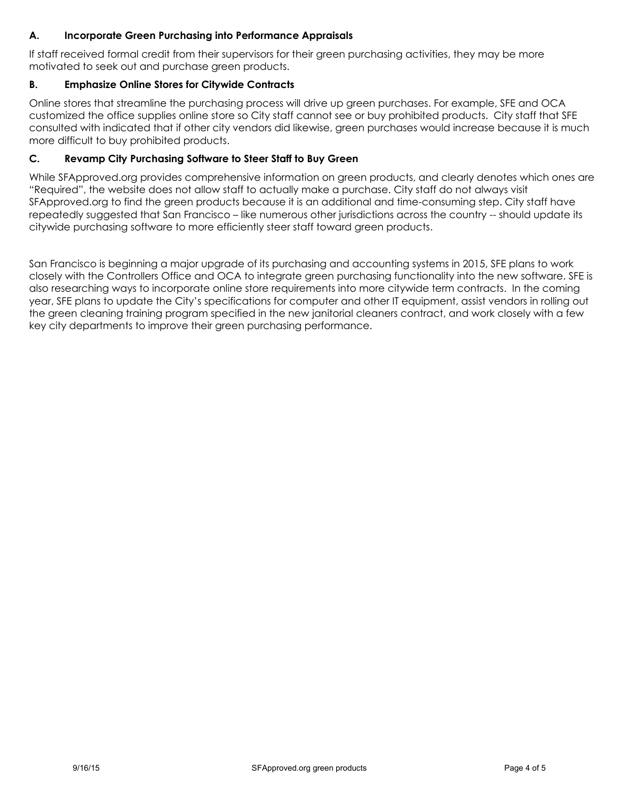# <span id="page-3-0"></span>**A. Incorporate Green Purchasing into Performance Appraisals**

If staff received formal credit from their supervisors for their green purchasing activities, they may be more motivated to seek out and purchase green products.

## <span id="page-3-1"></span>**B. Emphasize Online Stores for Citywide Contracts**

Online stores that streamline the purchasing process will drive up green purchases. For example, SFE and OCA customized the office supplies online store so City staff cannot see or buy prohibited products. City staff that SFE consulted with indicated that if other city vendors did likewise, green purchases would increase because it is much more difficult to buy prohibited products.

## <span id="page-3-2"></span>**C. Revamp City Purchasing Software to Steer Staff to Buy Green**

While SFApproved.org provides comprehensive information on green products, and clearly denotes which ones are "Required", the website does not allow staff to actually make a purchase. City staff do not always visit SFApproved.org to find the green products because it is an additional and time-consuming step. City staff have repeatedly suggested that San Francisco – like numerous other jurisdictions across the country -- should update its citywide purchasing software to more efficiently steer staff toward green products.

San Francisco is beginning a major upgrade of its purchasing and accounting systems in 2015, SFE plans to work closely with the Controllers Office and OCA to integrate green purchasing functionality into the new software. SFE is also researching ways to incorporate online store requirements into more citywide term contracts. In the coming year, SFE plans to update the City's specifications for computer and other IT equipment, assist vendors in rolling out the green cleaning training program specified in the new janitorial cleaners contract, and work closely with a few key city departments to improve their green purchasing performance.